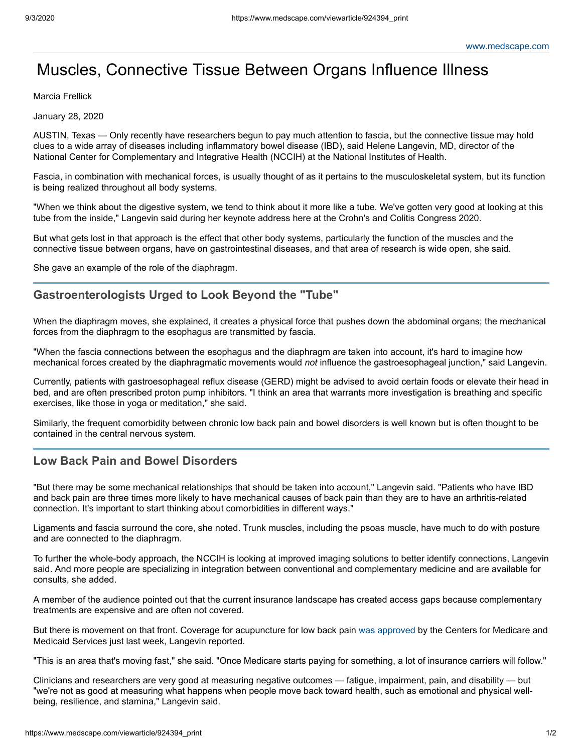## Muscles, Connective Tissue Between Organs Influence Illness

Marcia Frellick

January 28, 2020

AUSTIN, Texas — Only recently have researchers begun to pay much attention to fascia, but the connective tissue may hold clues to a wide array of diseases including inflammatory bowel disease (IBD), said Helene Langevin, MD, director of the National Center for Complementary and Integrative Health (NCCIH) at the National Institutes of Health.

Fascia, in combination with mechanical forces, is usually thought of as it pertains to the musculoskeletal system, but its function is being realized throughout all body systems.

"When we think about the digestive system, we tend to think about it more like a tube. We've gotten very good at looking at this tube from the inside," Langevin said during her keynote address here at the Crohn's and Colitis Congress 2020.

But what gets lost in that approach is the effect that other body systems, particularly the function of the muscles and the connective tissue between organs, have on gastrointestinal diseases, and that area of research is wide open, she said.

She gave an example of the role of the diaphragm.

## **Gastroenterologists Urged to Look Beyond the "Tube"**

When the diaphragm moves, she explained, it creates a physical force that pushes down the abdominal organs; the mechanical forces from the diaphragm to the esophagus are transmitted by fascia.

"When the fascia connections between the esophagus and the diaphragm are taken into account, it's hard to imagine how mechanical forces created by the diaphragmatic movements would *not* influence the gastroesophageal junction," said Langevin.

Currently, patients with gastroesophageal reflux disease (GERD) might be advised to avoid certain foods or elevate their head in bed, and are often prescribed proton pump inhibitors. "I think an area that warrants more investigation is breathing and specific exercises, like those in yoga or meditation," she said.

Similarly, the frequent comorbidity between chronic low back pain and bowel disorders is well known but is often thought to be contained in the central nervous system.

## **Low Back Pain and Bowel Disorders**

"But there may be some mechanical relationships that should be taken into account," Langevin said. "Patients who have IBD and back pain are three times more likely to have mechanical causes of back pain than they are to have an arthritis-related connection. It's important to start thinking about comorbidities in different ways."

Ligaments and fascia surround the core, she noted. Trunk muscles, including the psoas muscle, have much to do with posture and are connected to the diaphragm.

To further the whole-body approach, the NCCIH is looking at improved imaging solutions to better identify connections, Langevin said. And more people are specializing in integration between conventional and complementary medicine and are available for consults, she added.

A member of the audience pointed out that the current insurance landscape has created access gaps because complementary treatments are expensive and are often not covered.

But there is movement on that front. Coverage for acupuncture for low back pain was [approved](https://www.cms.gov/newsroom/press-releases/cms-finalizes-decision-cover-acupuncture-chronic-low-back-pain-medicare-beneficiaries) by the Centers for Medicare and Medicaid Services just last week, Langevin reported.

"This is an area that's moving fast," she said. "Once Medicare starts paying for something, a lot of insurance carriers will follow."

Clinicians and researchers are very good at measuring negative outcomes — fatigue, impairment, pain, and disability — but "we're not as good at measuring what happens when people move back toward health, such as emotional and physical wellbeing, resilience, and stamina," Langevin said.